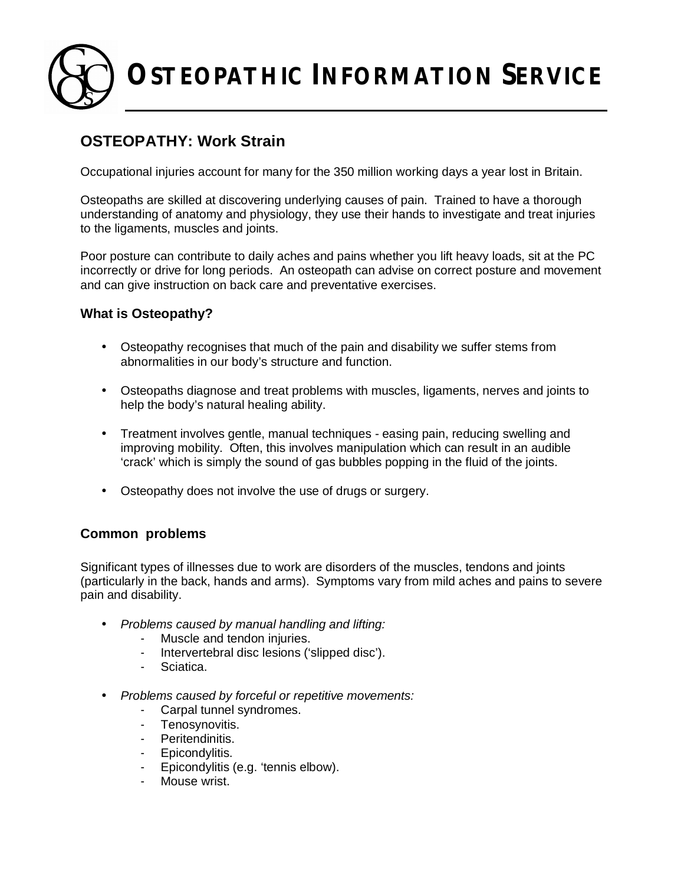**OSTEOPATHIC INFORMATION SERVICE**

# **OSTEOPATHY: Work Strain**

Occupational injuries account for many for the 350 million working days a year lost in Britain.

Osteopaths are skilled at discovering underlying causes of pain. Trained to have a thorough understanding of anatomy and physiology, they use their hands to investigate and treat injuries to the ligaments, muscles and joints.

Poor posture can contribute to daily aches and pains whether you lift heavy loads, sit at the PC incorrectly or drive for long periods. An osteopath can advise on correct posture and movement and can give instruction on back care and preventative exercises.

# **What is Osteopathy?**

- Osteopathy recognises that much of the pain and disability we suffer stems from abnormalities in our body's structure and function.
- Osteopaths diagnose and treat problems with muscles, ligaments, nerves and joints to help the body's natural healing ability.
- Treatment involves gentle, manual techniques easing pain, reducing swelling and improving mobility. Often, this involves manipulation which can result in an audible 'crack' which is simply the sound of gas bubbles popping in the fluid of the joints.
- Osteopathy does not involve the use of drugs or surgery.

# **Common problems**

Significant types of illnesses due to work are disorders of the muscles, tendons and joints (particularly in the back, hands and arms). Symptoms vary from mild aches and pains to severe pain and disability.

- *Problems caused by manual handling and lifting:*
	- Muscle and tendon injuries.
	- Intervertebral disc lesions ('slipped disc').
	- Sciatica.
- *Problems caused by forceful or repetitive movements:*
	- Carpal tunnel syndromes.
	- Tenosynovitis.
	- Peritendinitis.
	- Epicondylitis.
	- Epicondylitis (e.g. 'tennis elbow).
	- Mouse wrist.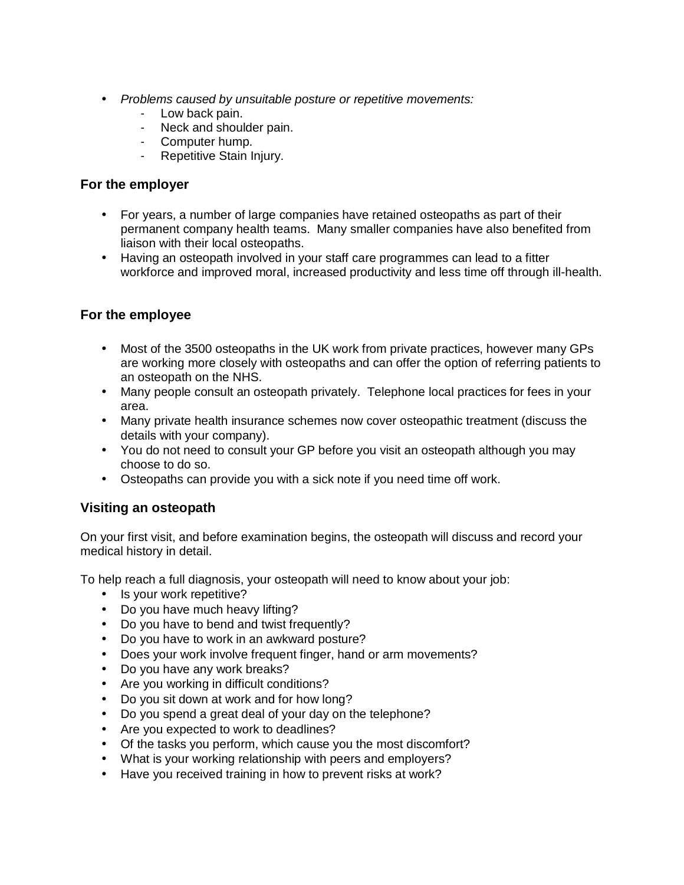- *Problems caused by unsuitable posture or repetitive movements:*
	- Low back pain.
	- Neck and shoulder pain.
	- Computer hump.
	- Repetitive Stain Injury.

# **For the employer**

- For years, a number of large companies have retained osteopaths as part of their permanent company health teams. Many smaller companies have also benefited from liaison with their local osteopaths.
- Having an osteopath involved in your staff care programmes can lead to a fitter workforce and improved moral, increased productivity and less time off through ill-health.

# **For the employee**

- Most of the 3500 osteopaths in the UK work from private practices, however many GPs are working more closely with osteopaths and can offer the option of referring patients to an osteopath on the NHS.
- Many people consult an osteopath privately. Telephone local practices for fees in your area.
- Many private health insurance schemes now cover osteopathic treatment (discuss the details with your company).
- You do not need to consult your GP before you visit an osteopath although you may choose to do so.
- Osteopaths can provide you with a sick note if you need time off work.

# **Visiting an osteopath**

On your first visit, and before examination begins, the osteopath will discuss and record your medical history in detail.

To help reach a full diagnosis, your osteopath will need to know about your job:

- Is your work repetitive?
- Do you have much heavy lifting?
- Do you have to bend and twist frequently?
- Do you have to work in an awkward posture?
- Does your work involve frequent finger, hand or arm movements?
- Do you have any work breaks?
- Are you working in difficult conditions?
- Do you sit down at work and for how long?
- Do you spend a great deal of your day on the telephone?
- Are you expected to work to deadlines?
- Of the tasks you perform, which cause you the most discomfort?
- What is your working relationship with peers and employers?
- Have you received training in how to prevent risks at work?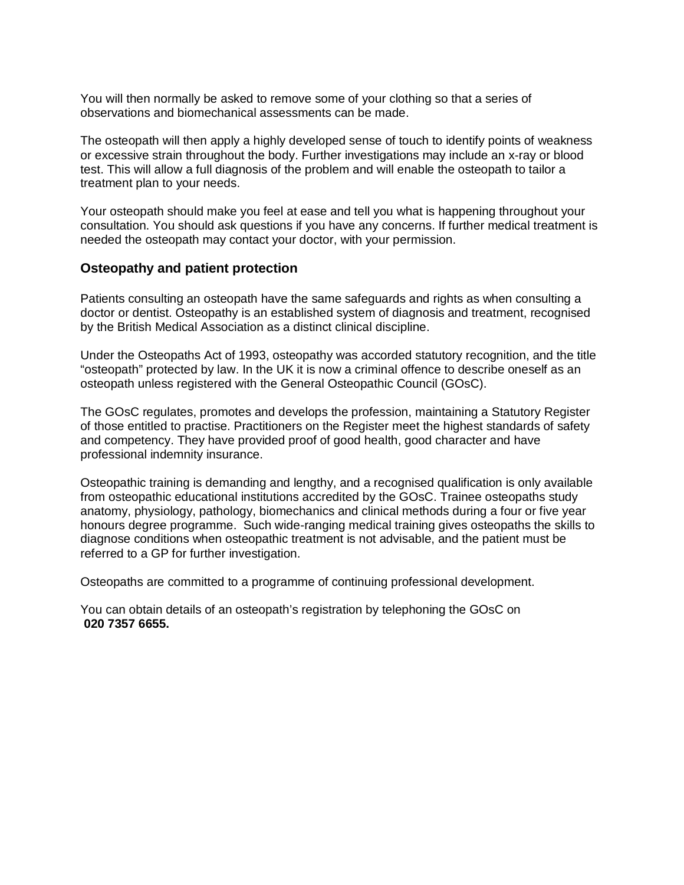You will then normally be asked to remove some of your clothing so that a series of observations and biomechanical assessments can be made.

The osteopath will then apply a highly developed sense of touch to identify points of weakness or excessive strain throughout the body. Further investigations may include an x-ray or blood test. This will allow a full diagnosis of the problem and will enable the osteopath to tailor a treatment plan to your needs.

Your osteopath should make you feel at ease and tell you what is happening throughout your consultation. You should ask questions if you have any concerns. If further medical treatment is needed the osteopath may contact your doctor, with your permission.

#### **Osteopathy and patient protection**

Patients consulting an osteopath have the same safeguards and rights as when consulting a doctor or dentist. Osteopathy is an established system of diagnosis and treatment, recognised by the British Medical Association as a distinct clinical discipline.

Under the Osteopaths Act of 1993, osteopathy was accorded statutory recognition, and the title "osteopath" protected by law. In the UK it is now a criminal offence to describe oneself as an osteopath unless registered with the General Osteopathic Council (GOsC).

The GOsC regulates, promotes and develops the profession, maintaining a Statutory Register of those entitled to practise. Practitioners on the Register meet the highest standards of safety and competency. They have provided proof of good health, good character and have professional indemnity insurance.

Osteopathic training is demanding and lengthy, and a recognised qualification is only available from osteopathic educational institutions accredited by the GOsC. Trainee osteopaths study anatomy, physiology, pathology, biomechanics and clinical methods during a four or five year honours degree programme. Such wide-ranging medical training gives osteopaths the skills to diagnose conditions when osteopathic treatment is not advisable, and the patient must be referred to a GP for further investigation.

Osteopaths are committed to a programme of continuing professional development.

You can obtain details of an osteopath's registration by telephoning the GOsC on **020 7357 6655.**